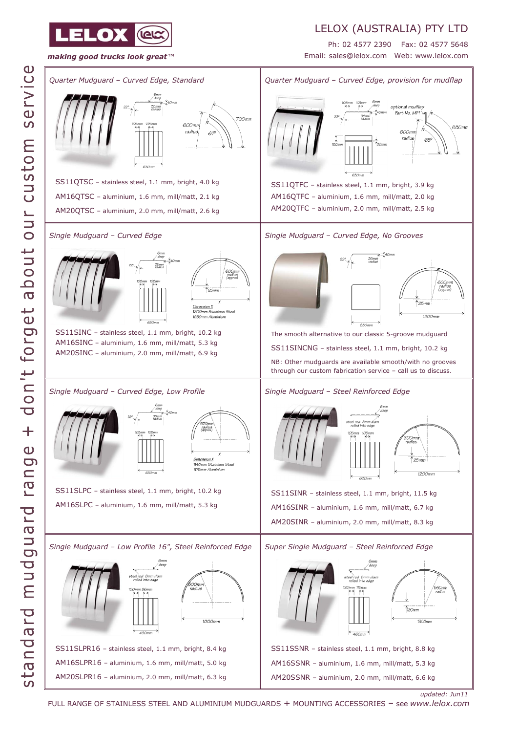

## LELOX (AUSTRALIA) PTY LTD

Ph: 02 4577 2390 Fax: 02 4577 5648 Email: sales@lelox.com Web: www.lelox.com

*updated: Jun11*



FULL RANGE OF STAINLESS STEEL AND ALUMINIUM MUDGUARDS + MOUNTING ACCESSORIES – see *www.lelox.com*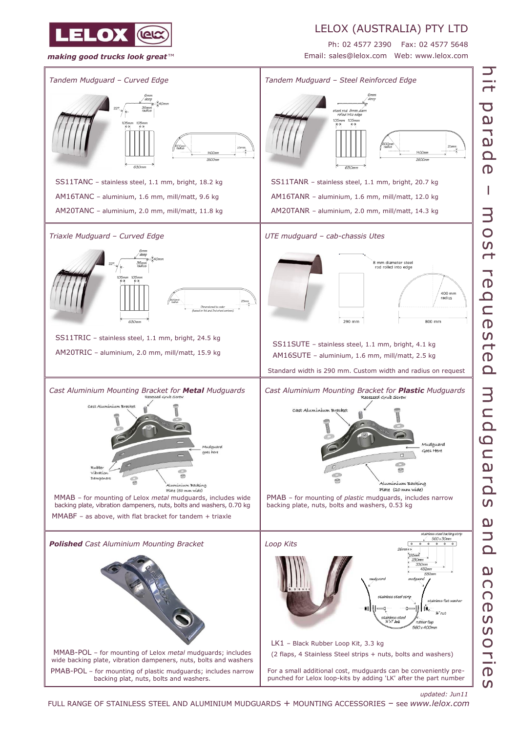

## LELOX (AUSTRALIA) PTY LTD

Ph: 02 4577 2390 Fax: 02 4577 5648 Email: sales@lelox.com Web: www.lelox.com

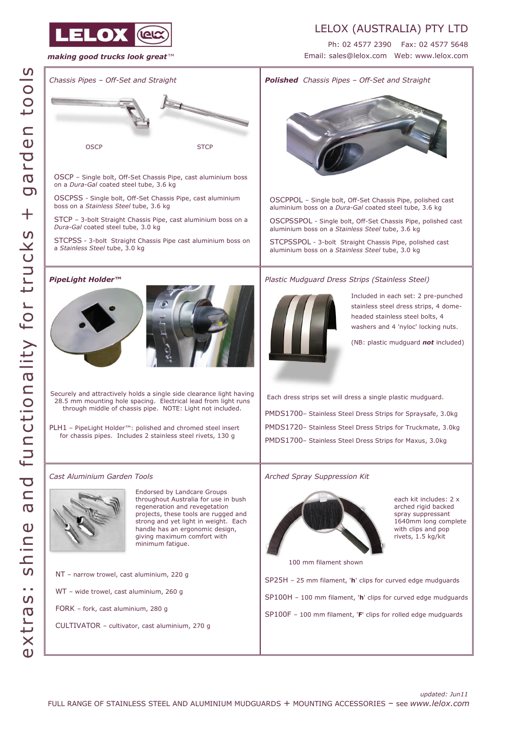

#### LELOX (AUSTRALIA) PTY LTD

Ph: 02 4577 2390 Fax: 02 4577 5648 Email: sales@lelox.com Web: www.lelox.com

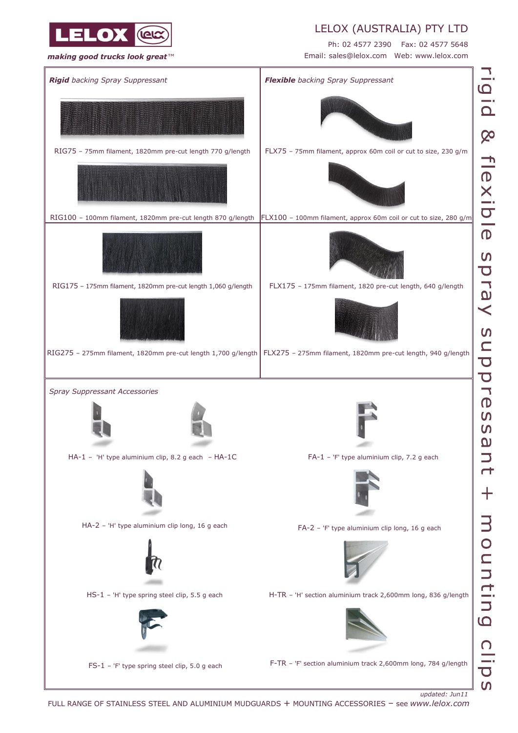

*making good trucks look great™*

# LELOX (AUSTRALIA) PTY LTD

Ph: 02 4577 2390 Fax: 02 4577 5648 Email: sales@lelox.com Web: www.lelox.com



*updated: Jun11* FULL RANGE OF STAINLESS STEEL AND ALUMINIUM MUDGUARDS + MOUNTING ACCESSORIES – see *www.lelox.com*